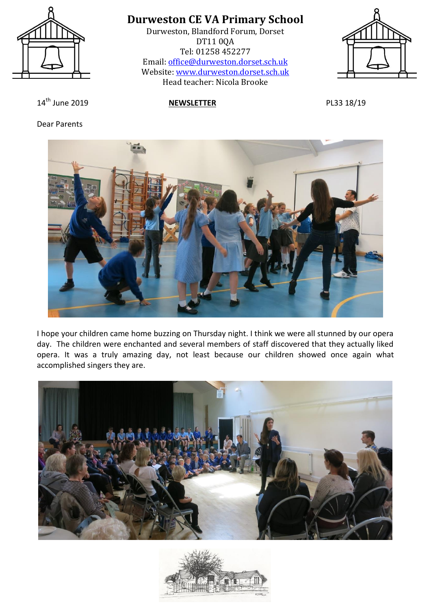

Durweston, Blandford Forum, Dorset DT11 0QA Tel: 01258 452277 Email: [office@durweston.dorset.sch.uk](mailto:office@durweston.dorset.sch.uk) Website: [www.durweston.dorset.sch.uk](http://www.durweston.dorset.sch.uk/) Head teacher: Nicola Brooke



14th June 2019 **NEWSLETTER** PL33 18/19

Dear Parents



I hope your children came home buzzing on Thursday night. I think we were all stunned by our opera day. The children were enchanted and several members of staff discovered that they actually liked opera. It was a truly amazing day, not least because our children showed once again what accomplished singers they are.



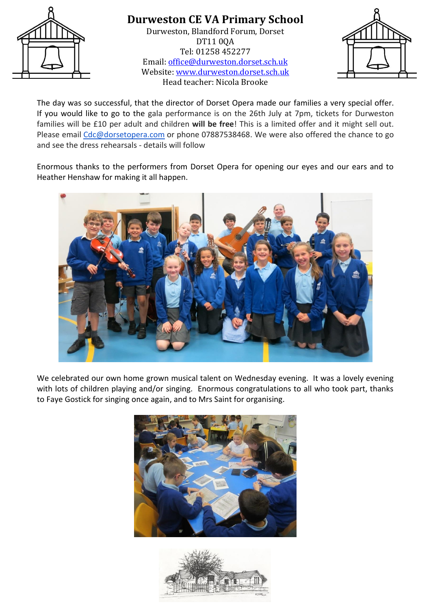

Durweston, Blandford Forum, Dorset DT11 0QA Tel: 01258 452277 Email: [office@durweston.dorset.sch.uk](mailto:office@durweston.dorset.sch.uk) Website: [www.durweston.dorset.sch.uk](http://www.durweston.dorset.sch.uk/) Head teacher: Nicola Brooke



The day was so successful, that the director of Dorset Opera made our families a very special offer. If you would like to go to the gala performance is on the 26th July at 7pm, tickets for Durweston families will be £10 per adult and children **will be free**! This is a limited offer and it might sell out. Please email [Cdc@dorsetopera.com](mailto:Cdc@dorsetopera.com) or phone 07887538468. We were also offered the chance to go and see the dress rehearsals - details will follow

Enormous thanks to the performers from Dorset Opera for opening our eyes and our ears and to Heather Henshaw for making it all happen.



We celebrated our own home grown musical talent on Wednesday evening. It was a lovely evening with lots of children playing and/or singing. Enormous congratulations to all who took part, thanks to Faye Gostick for singing once again, and to Mrs Saint for organising.



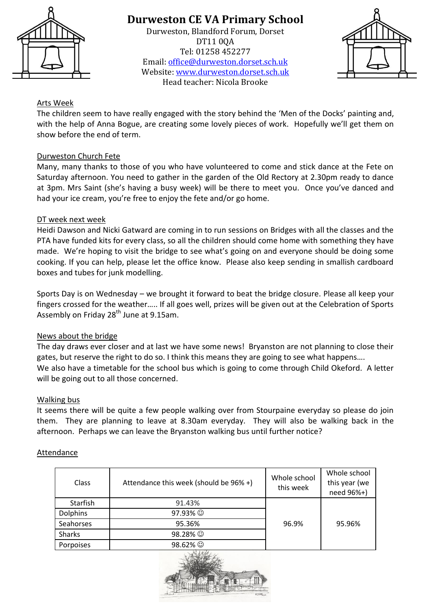

Durweston, Blandford Forum, Dorset DT11 0QA Tel: 01258 452277 Email: [office@durweston.dorset.sch.uk](mailto:office@durweston.dorset.sch.uk) Website: [www.durweston.dorset.sch.uk](http://www.durweston.dorset.sch.uk/) Head teacher: Nicola Brooke



### Arts Week

The children seem to have really engaged with the story behind the 'Men of the Docks' painting and, with the help of Anna Bogue, are creating some lovely pieces of work. Hopefully we'll get them on show before the end of term.

### Durweston Church Fete

Many, many thanks to those of you who have volunteered to come and stick dance at the Fete on Saturday afternoon. You need to gather in the garden of the Old Rectory at 2.30pm ready to dance at 3pm. Mrs Saint (she's having a busy week) will be there to meet you. Once you've danced and had your ice cream, you're free to enjoy the fete and/or go home.

#### DT week next week

Heidi Dawson and Nicki Gatward are coming in to run sessions on Bridges with all the classes and the PTA have funded kits for every class, so all the children should come home with something they have made. We're hoping to visit the bridge to see what's going on and everyone should be doing some cooking. If you can help, please let the office know. Please also keep sending in smallish cardboard boxes and tubes for junk modelling.

Sports Day is on Wednesday – we brought it forward to beat the bridge closure. Please all keep your fingers crossed for the weather….. If all goes well, prizes will be given out at the Celebration of Sports Assembly on Friday 28<sup>th</sup> June at 9.15am.

#### News about the bridge

The day draws ever closer and at last we have some news! Bryanston are not planning to close their gates, but reserve the right to do so. I think this means they are going to see what happens…. We also have a timetable for the school bus which is going to come through Child Okeford. A letter will be going out to all those concerned.

#### Walking bus

It seems there will be quite a few people walking over from Stourpaine everyday so please do join them. They are planning to leave at 8.30am everyday. They will also be walking back in the afternoon. Perhaps we can leave the Bryanston walking bus until further notice?

#### Attendance

| Class           | Attendance this week (should be 96% +) | Whole school<br>this week | Whole school<br>this year (we<br>need 96%+) |
|-----------------|----------------------------------------|---------------------------|---------------------------------------------|
| Starfish        | 91.43%                                 |                           |                                             |
| <b>Dolphins</b> | 97.93% ©                               |                           |                                             |
| Seahorses       | 95.36%                                 | 96.9%                     | 95.96%                                      |
| <b>Sharks</b>   | 98.28% ©                               |                           |                                             |
| Porpoises       | 98.62% ©                               |                           |                                             |